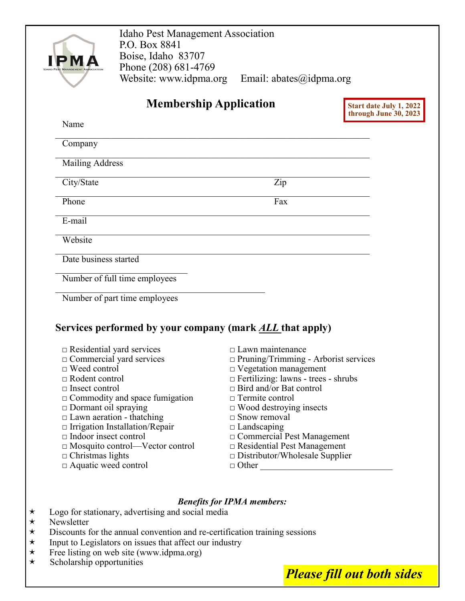| <b>Idaho Pest Management Association</b><br>P.O. Box 8841<br>Boise, Idaho 83707 |                                                                                   |
|---------------------------------------------------------------------------------|-----------------------------------------------------------------------------------|
| Phone (208) 681-4769                                                            |                                                                                   |
| Website: www.idpma.org                                                          | Email: $abates$ @idpma.org                                                        |
|                                                                                 | <b>Membership Application</b><br>Start date July 1, 2022<br>through June 30, 2023 |
| Name                                                                            |                                                                                   |
| Company                                                                         |                                                                                   |
| <b>Mailing Address</b>                                                          |                                                                                   |
| City/State                                                                      | Zip                                                                               |
| Phone                                                                           | Fax                                                                               |
| E-mail                                                                          |                                                                                   |
| Website                                                                         |                                                                                   |
| Date business started                                                           |                                                                                   |
| Number of full time employees                                                   |                                                                                   |
| Number of part time employees                                                   |                                                                                   |
|                                                                                 |                                                                                   |
| Services performed by your company (mark <u>ALL</u> that apply)                 |                                                                                   |
| $\Box$ Residential yard services                                                | $\Box$ Lawn maintenance                                                           |
| $\Box$ Commercial yard services                                                 | □ Pruning/Trimming - Arborist services                                            |
| □ Weed control                                                                  | D Vegetation management                                                           |
| $\Box$ Rodent control                                                           | $\Box$ Fertilizing: lawns - trees - shrubs                                        |
| $\Box$ Insect control                                                           | $\Box$ Bird and/or Bat control                                                    |
| $\Box$ Commodity and space fumigation                                           | $\Box$ Termite control                                                            |
| $\Box$ Dormant oil spraying<br>$\Box$ Lawn aeration - thatching                 | $\Box$ Wood destroying insects<br>$\Box$ Snow removal                             |
| $\Box$ Irrigation Installation/Repair                                           | $\Box$ Landscaping                                                                |
|                                                                                 | □ Commercial Pest Management                                                      |
|                                                                                 | $\Box$ Residential Pest Management                                                |
| $\Box$ Indoor insect control                                                    |                                                                                   |
| $\Box$ Mosquito control—Vector control                                          |                                                                                   |
| $\Box$ Christmas lights                                                         | $\Box$ Distributor/Wholesale Supplier                                             |
| $\Box$ Aquatic weed control                                                     | □ Other                                                                           |
|                                                                                 | <b>Benefits for IPMA members:</b>                                                 |

- $\star$  Discounts for the annual convention and re-certification training sessions  $\star$  Input to Legislators on issues that affect our industry
- $\star$  Input to Legislators on issues that affect our industry<br>
Free listing on web site (www.idpma.org)
- $\star$  Free listing on web site (www.idpma.org)
- $\star$  Scholarship opportunities

*Please fill out both sides*